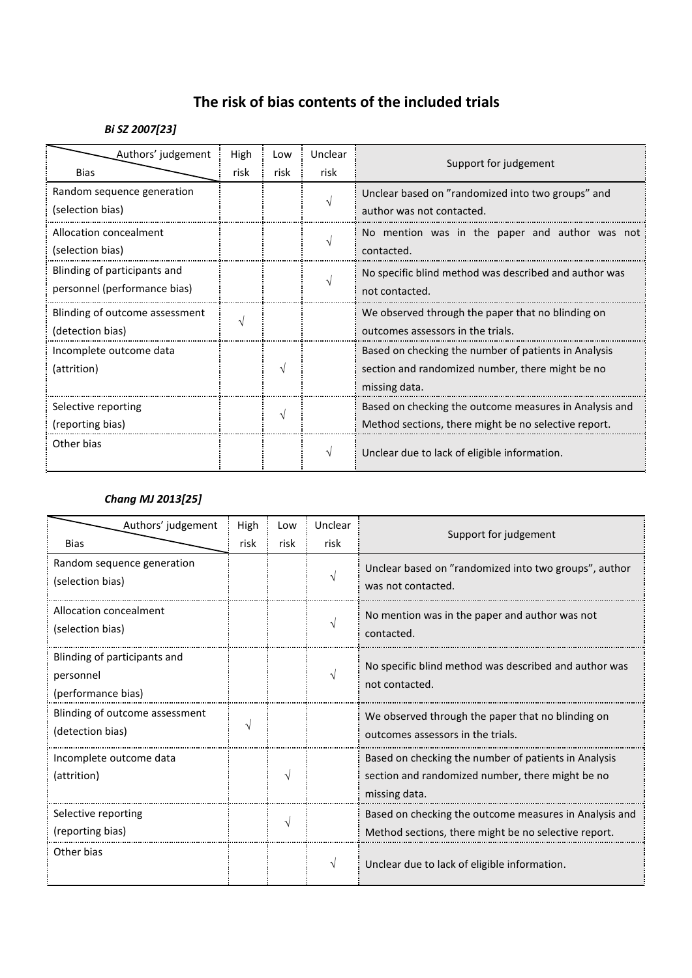# **The risk of bias contents of the included trials**

### *Bi SZ 2007[23]*

| Authors' judgement             | High | Low  | Unclear | Support for judgement                                  |
|--------------------------------|------|------|---------|--------------------------------------------------------|
| <b>Bias</b>                    | risk | risk | risk    |                                                        |
| Random sequence generation     |      |      |         | Unclear based on "randomized into two groups" and      |
| (selection bias)               |      |      |         | author was not contacted.                              |
| Allocation concealment         |      |      |         | No mention was in the paper and author was not         |
| (selection bias)               |      |      |         | contacted.                                             |
| Blinding of participants and   |      |      |         | No specific blind method was described and author was  |
| personnel (performance bias)   |      |      |         | not contacted.                                         |
| Blinding of outcome assessment |      |      |         | We observed through the paper that no blinding on      |
| (detection bias)               |      |      |         | outcomes assessors in the trials.                      |
| Incomplete outcome data        |      |      |         | Based on checking the number of patients in Analysis   |
| (attrition)                    |      |      |         | section and randomized number, there might be no       |
|                                |      |      |         | missing data.                                          |
| Selective reporting            |      |      |         | Based on checking the outcome measures in Analysis and |
| (reporting bias)               |      |      |         | Method sections, there might be no selective report.   |
| Other bias                     |      |      | V       | Unclear due to lack of eligible information.           |
|                                |      |      |         |                                                        |

#### *Chang MJ 2013[25]*

| Authors' judgement<br><b>Bias</b>                               | High<br>risk | Low<br>risk | Unclear<br>risk | Support for judgement                                                                                                     |
|-----------------------------------------------------------------|--------------|-------------|-----------------|---------------------------------------------------------------------------------------------------------------------------|
| Random sequence generation<br>(selection bias)                  |              |             |                 | Unclear based on "randomized into two groups", author<br>was not contacted.                                               |
| Allocation concealment<br>(selection bias)                      |              |             |                 | No mention was in the paper and author was not<br>contacted.                                                              |
| Blinding of participants and<br>personnel<br>(performance bias) |              |             |                 | No specific blind method was described and author was<br>not contacted.                                                   |
| Blinding of outcome assessment<br>(detection bias)              |              |             |                 | We observed through the paper that no blinding on<br>outcomes assessors in the trials.                                    |
| Incomplete outcome data<br>(attrition)                          |              |             |                 | Based on checking the number of patients in Analysis<br>section and randomized number, there might be no<br>missing data. |
| Selective reporting<br>(reporting bias)                         |              | ٦           |                 | Based on checking the outcome measures in Analysis and<br>Method sections, there might be no selective report.            |
| Other bias                                                      |              |             | $\sqrt{ }$      | Unclear due to lack of eligible information.                                                                              |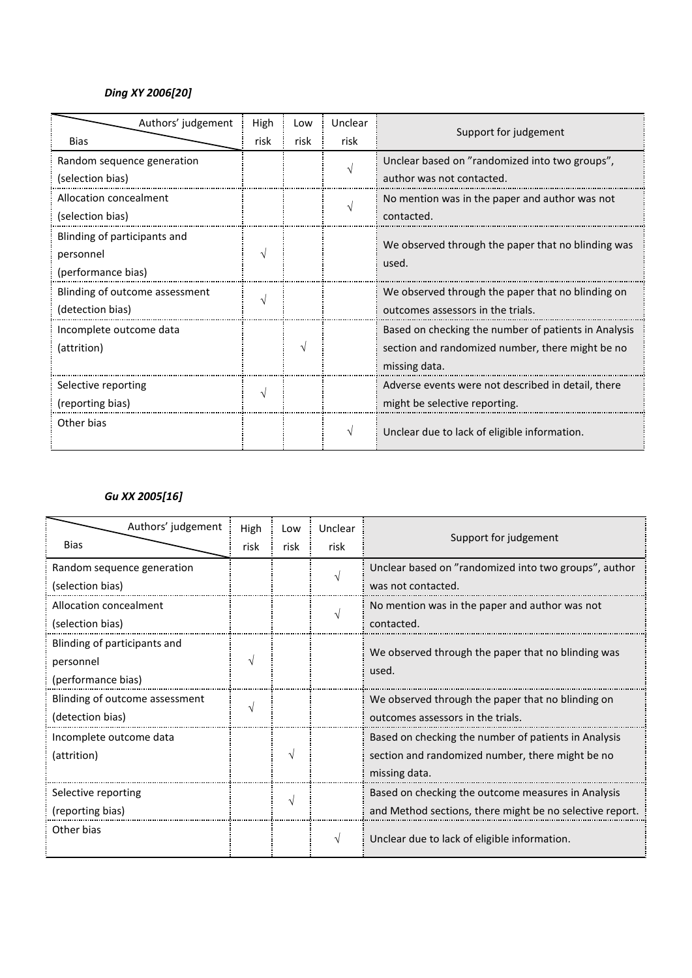## *Ding XY 2006[20]*

| Authors' judgement             | High | Low  | Unclear |                                                             |
|--------------------------------|------|------|---------|-------------------------------------------------------------|
| <b>Bias</b>                    | risk | risk | risk    | Support for judgement                                       |
| Random sequence generation     |      |      |         | Unclear based on "randomized into two groups",              |
| (selection bias)               |      |      |         | author was not contacted.                                   |
| Allocation concealment         |      |      |         | No mention was in the paper and author was not              |
| (selection bias)               |      |      |         | contacted.                                                  |
| Blinding of participants and   |      |      |         |                                                             |
| personnel                      |      |      |         | We observed through the paper that no blinding was<br>used. |
| (performance bias)             |      |      |         |                                                             |
| Blinding of outcome assessment |      |      |         | We observed through the paper that no blinding on           |
| (detection bias)               |      |      |         | outcomes assessors in the trials.                           |
| Incomplete outcome data        |      |      |         | Based on checking the number of patients in Analysis        |
| (attrition)                    |      |      |         | section and randomized number, there might be no            |
|                                |      |      |         | missing data.                                               |
| Selective reporting            |      |      |         | Adverse events were not described in detail, there          |
| (reporting bias)               |      |      |         | might be selective reporting.                               |
| Other bias                     |      |      | V       | Unclear due to lack of eligible information.                |

## *Gu XX 2005[16]*

| Authors' judgement<br><b>Bias</b>                               | High<br>risk | Low<br>risk | Unclear<br>risk | Support for judgement                                                                                                     |
|-----------------------------------------------------------------|--------------|-------------|-----------------|---------------------------------------------------------------------------------------------------------------------------|
| Random sequence generation<br>(selection bias)                  |              |             |                 | Unclear based on "randomized into two groups", author<br>was not contacted.                                               |
| Allocation concealment<br>(selection bias)                      |              |             |                 | No mention was in the paper and author was not<br>contacted.                                                              |
| Blinding of participants and<br>personnel<br>(performance bias) | ٦            |             |                 | We observed through the paper that no blinding was<br>used.                                                               |
| Blinding of outcome assessment<br>(detection bias)              | V            |             |                 | We observed through the paper that no blinding on<br>outcomes assessors in the trials.                                    |
| Incomplete outcome data<br>(attrition)                          |              | V           |                 | Based on checking the number of patients in Analysis<br>section and randomized number, there might be no<br>missing data. |
| Selective reporting<br>(reporting bias)                         |              | V           |                 | Based on checking the outcome measures in Analysis<br>and Method sections, there might be no selective report.            |
| Other bias                                                      |              |             |                 | Unclear due to lack of eligible information.                                                                              |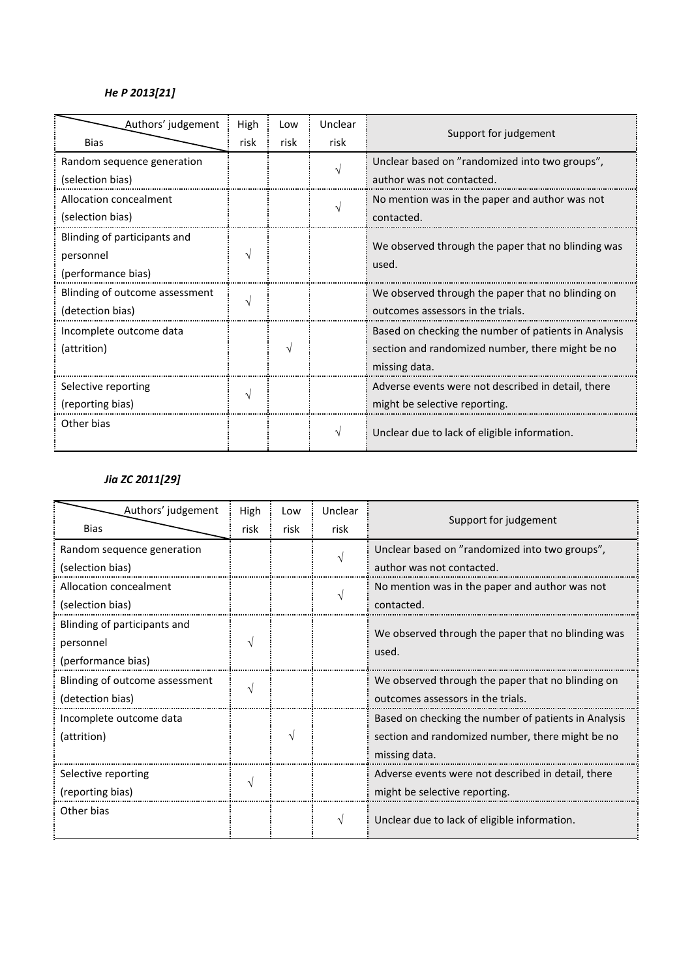# *He P 2013[21]*

| Authors' judgement             | High | Low  | Unclear | Support for judgement                                |
|--------------------------------|------|------|---------|------------------------------------------------------|
| <b>Bias</b>                    | risk | risk | risk    |                                                      |
| Random sequence generation     |      |      |         | Unclear based on "randomized into two groups",       |
| (selection bias)               |      |      |         | author was not contacted.                            |
| Allocation concealment         |      |      |         | No mention was in the paper and author was not       |
| (selection bias)               |      |      |         | contacted.                                           |
| Blinding of participants and   |      |      |         | We observed through the paper that no blinding was   |
| personnel                      |      |      |         | used.                                                |
| (performance bias)             |      |      |         |                                                      |
| Blinding of outcome assessment |      |      |         | We observed through the paper that no blinding on    |
| (detection bias)               |      |      |         | outcomes assessors in the trials.                    |
| Incomplete outcome data        |      |      |         | Based on checking the number of patients in Analysis |
| (attrition)                    |      |      |         | section and randomized number, there might be no     |
|                                |      |      |         | missing data.                                        |
| Selective reporting            |      |      |         | Adverse events were not described in detail, there   |
| (reporting bias)               |      |      |         | might be selective reporting.                        |
| Other bias                     |      |      |         | Unclear due to lack of eligible information.         |

# *Jia ZC 2011[29]*

| Authors' judgement             | High          | Low           | Unclear |                                                      |
|--------------------------------|---------------|---------------|---------|------------------------------------------------------|
| <b>Bias</b>                    | risk          | risk          | risk    | Support for judgement                                |
| Random sequence generation     |               |               |         | Unclear based on "randomized into two groups",       |
| (selection bias)               |               |               |         | author was not contacted.                            |
| Allocation concealment         |               |               |         | No mention was in the paper and author was not       |
| (selection bias)               |               |               |         | contacted.                                           |
| Blinding of participants and   |               |               |         | We observed through the paper that no blinding was   |
| personnel                      |               |               |         | used.                                                |
| (performance bias)             |               |               |         |                                                      |
| Blinding of outcome assessment | V             |               |         | We observed through the paper that no blinding on    |
| (detection bias)               |               |               |         | outcomes assessors in the trials.                    |
| Incomplete outcome data        |               |               |         | Based on checking the number of patients in Analysis |
| (attrition)                    |               | $\mathcal{N}$ |         | section and randomized number, there might be no     |
|                                |               |               |         | missing data.                                        |
| Selective reporting            | $\mathcal{N}$ |               |         | Adverse events were not described in detail, there   |
| (reporting bias)               |               |               |         | might be selective reporting.                        |
| Other bias                     |               |               |         | Unclear due to lack of eligible information.         |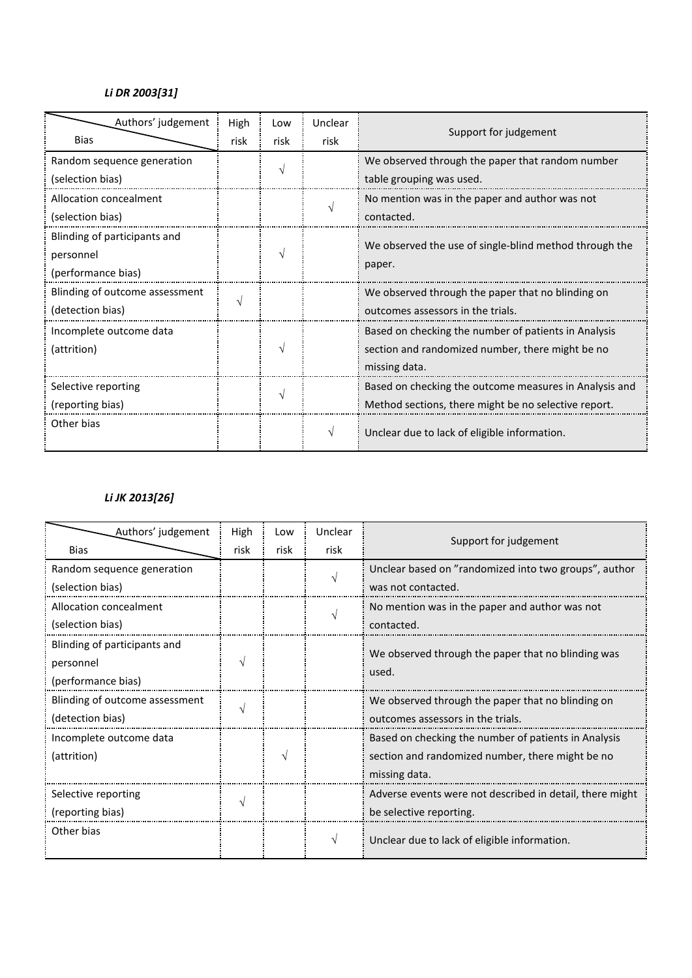# *Li DR 2003[31]*

| Authors' judgement             | High | Low  | Unclear |                                                        |
|--------------------------------|------|------|---------|--------------------------------------------------------|
| Bias                           | risk | risk | risk    | Support for judgement                                  |
| Random sequence generation     |      |      |         | We observed through the paper that random number       |
| (selection bias)               |      |      |         | table grouping was used.                               |
| Allocation concealment         |      |      |         | No mention was in the paper and author was not         |
| (selection bias)               |      |      |         | contacted.                                             |
| Blinding of participants and   |      |      |         | We observed the use of single-blind method through the |
| personnel                      |      |      | paper.  |                                                        |
| (performance bias)             |      |      |         |                                                        |
| Blinding of outcome assessment |      |      |         | We observed through the paper that no blinding on      |
| (detection bias)               |      |      |         | outcomes assessors in the trials.                      |
| Incomplete outcome data        |      |      |         | Based on checking the number of patients in Analysis   |
| (attrition)                    |      |      |         | section and randomized number, there might be no       |
|                                |      |      |         | missing data.                                          |
| Selective reporting            |      |      |         | Based on checking the outcome measures in Analysis and |
| (reporting bias)               |      |      |         | Method sections, there might be no selective report.   |
| Other bias                     |      |      |         | Unclear due to lack of eligible information.           |

### *Li JK 2013[26]*

| Authors' judgement             | High | Low           | Unclear       |                                                             |
|--------------------------------|------|---------------|---------------|-------------------------------------------------------------|
| <b>Bias</b>                    | risk | risk          | risk          | Support for judgement                                       |
| Random sequence generation     |      |               | $\mathcal{L}$ | Unclear based on "randomized into two groups", author       |
| (selection bias)               |      |               |               | was not contacted.                                          |
| Allocation concealment         |      |               |               | No mention was in the paper and author was not              |
| (selection bias)               |      |               |               | contacted.                                                  |
| Blinding of participants and   |      |               |               |                                                             |
| personnel                      |      |               |               | We observed through the paper that no blinding was<br>used. |
| (performance bias)             |      |               |               |                                                             |
| Blinding of outcome assessment |      |               |               | We observed through the paper that no blinding on           |
| (detection bias)               |      |               |               | outcomes assessors in the trials.                           |
| Incomplete outcome data        |      |               |               | Based on checking the number of patients in Analysis        |
| (attrition)                    |      | $\mathcal{N}$ |               | section and randomized number, there might be no            |
|                                |      |               |               | missing data.                                               |
| Selective reporting            |      |               |               | Adverse events were not described in detail, there might    |
| (reporting bias)               |      |               |               | be selective reporting.                                     |
| Other bias                     |      |               |               | Unclear due to lack of eligible information.                |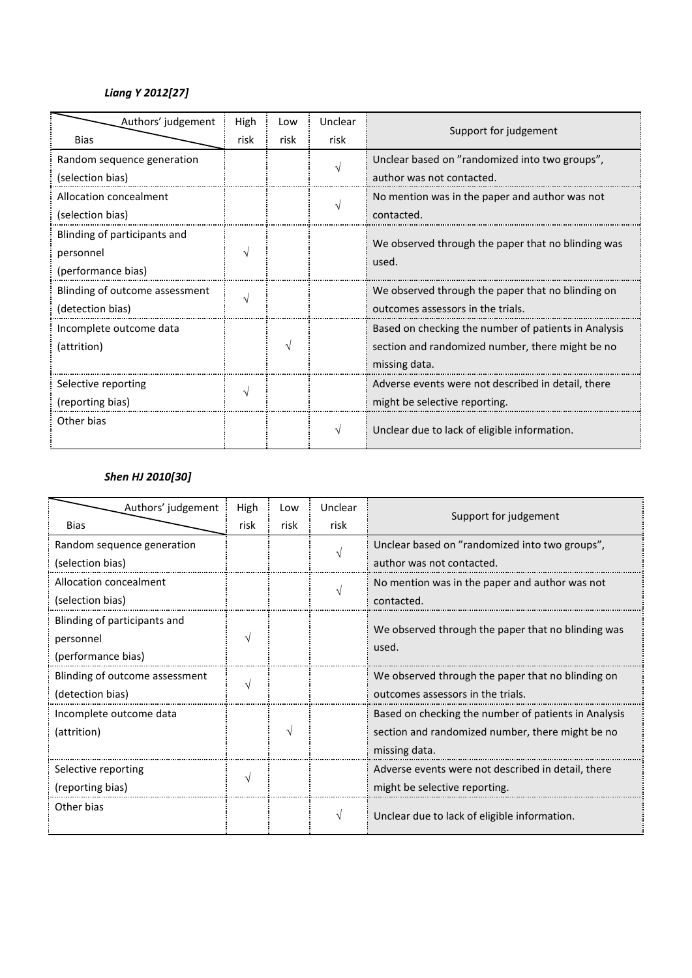## *Liang Y 2012[27]*

| Authors' judgement             | High | Low  | Unclear | Support for judgement                                |
|--------------------------------|------|------|---------|------------------------------------------------------|
| <b>Bias</b>                    | risk | risk | risk    |                                                      |
| Random sequence generation     |      |      |         | Unclear based on "randomized into two groups",       |
| (selection bias)               |      |      |         | author was not contacted.                            |
| Allocation concealment         |      |      |         | No mention was in the paper and author was not       |
| (selection bias)               |      |      |         | contacted.                                           |
| Blinding of participants and   |      |      |         | We observed through the paper that no blinding was   |
| personnel                      |      |      |         | used.                                                |
| (performance bias)             |      |      |         |                                                      |
| Blinding of outcome assessment |      |      |         | We observed through the paper that no blinding on    |
| (detection bias)               |      |      |         | outcomes assessors in the trials.                    |
| Incomplete outcome data        |      |      |         | Based on checking the number of patients in Analysis |
| (attrition)                    |      | V    |         | section and randomized number, there might be no     |
|                                |      |      |         | missing data.                                        |
| Selective reporting            |      |      |         | Adverse events were not described in detail, there   |
| (reporting bias)               |      |      |         | might be selective reporting.                        |
| Other bias                     |      |      |         | Unclear due to lack of eligible information.         |

#### *Shen HJ 2010[30]*

| Authors' judgement             | High | Low  | Unclear<br>Support for judgement |                                                             |
|--------------------------------|------|------|----------------------------------|-------------------------------------------------------------|
| <b>Bias</b>                    | risk | risk | risk                             |                                                             |
| Random sequence generation     |      |      |                                  | Unclear based on "randomized into two groups",              |
| (selection bias)               |      |      |                                  | author was not contacted.                                   |
| Allocation concealment         |      |      |                                  | No mention was in the paper and author was not              |
| (selection bias)               |      |      |                                  | contacted.                                                  |
| Blinding of participants and   |      |      |                                  |                                                             |
| personnel                      |      |      |                                  |                                                             |
| (performance bias)             |      |      |                                  |                                                             |
| Blinding of outcome assessment |      |      |                                  | We observed through the paper that no blinding on           |
| (detection bias)               |      |      |                                  | outcomes assessors in the trials.                           |
| Incomplete outcome data        |      |      |                                  | Based on checking the number of patients in Analysis        |
| (attrition)                    |      | N    |                                  | section and randomized number, there might be no            |
|                                |      |      |                                  | missing data.                                               |
| Selective reporting            |      |      |                                  | Adverse events were not described in detail, there          |
| (reporting bias)               |      |      |                                  | might be selective reporting.                               |
| Other bias                     |      |      |                                  | Unclear due to lack of eligible information.                |
|                                |      |      |                                  | We observed through the paper that no blinding was<br>used. |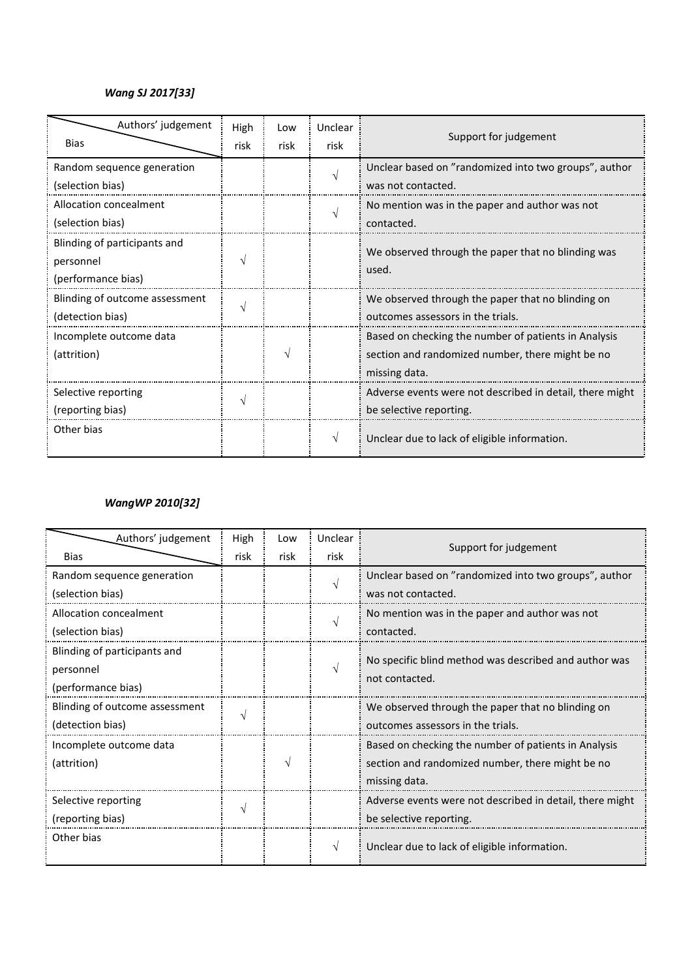#### *Wang SJ 2017[33]*

| Authors' judgement<br><b>Bias</b>                               | High<br>risk | Low<br>risk | Unclear<br>risk | Support for judgement                                                                                                     |
|-----------------------------------------------------------------|--------------|-------------|-----------------|---------------------------------------------------------------------------------------------------------------------------|
| Random sequence generation<br>(selection bias)                  |              |             |                 | Unclear based on "randomized into two groups", author<br>was not contacted.                                               |
| Allocation concealment<br>(selection bias)                      |              |             |                 | No mention was in the paper and author was not<br>contacted.                                                              |
| Blinding of participants and<br>personnel<br>(performance bias) |              |             |                 | We observed through the paper that no blinding was<br>used.                                                               |
| Blinding of outcome assessment<br>(detection bias)              |              |             |                 | We observed through the paper that no blinding on<br>outcomes assessors in the trials.                                    |
| Incomplete outcome data<br>(attrition)                          |              |             |                 | Based on checking the number of patients in Analysis<br>section and randomized number, there might be no<br>missing data. |
| Selective reporting<br>(reporting bias)                         |              |             |                 | Adverse events were not described in detail, there might<br>be selective reporting.                                       |
| Other bias                                                      |              |             |                 | Unclear due to lack of eligible information.                                                                              |

### *WangWP 2010[32]*

| Authors' judgement             | High | Low  | Unclear |                                                          |
|--------------------------------|------|------|---------|----------------------------------------------------------|
| <b>Bias</b>                    | risk | risk | risk    | Support for judgement                                    |
| Random sequence generation     |      |      |         | Unclear based on "randomized into two groups", author    |
| (selection bias)               |      |      |         | was not contacted.                                       |
| Allocation concealment         |      |      |         | No mention was in the paper and author was not           |
| (selection bias)               |      |      |         | contacted.                                               |
| Blinding of participants and   |      |      |         | No specific blind method was described and author was    |
| personnel                      |      |      |         | not contacted.                                           |
| (performance bias)             |      |      |         |                                                          |
| Blinding of outcome assessment |      |      |         | We observed through the paper that no blinding on        |
| (detection bias)               |      |      |         | outcomes assessors in the trials.                        |
| Incomplete outcome data        |      |      |         | Based on checking the number of patients in Analysis     |
| (attrition)                    |      | V    |         | section and randomized number, there might be no         |
|                                |      |      |         | missing data.                                            |
| Selective reporting            |      |      |         | Adverse events were not described in detail, there might |
| (reporting bias)               |      |      |         | be selective reporting.                                  |
| Other bias                     |      |      | V       | Unclear due to lack of eligible information.             |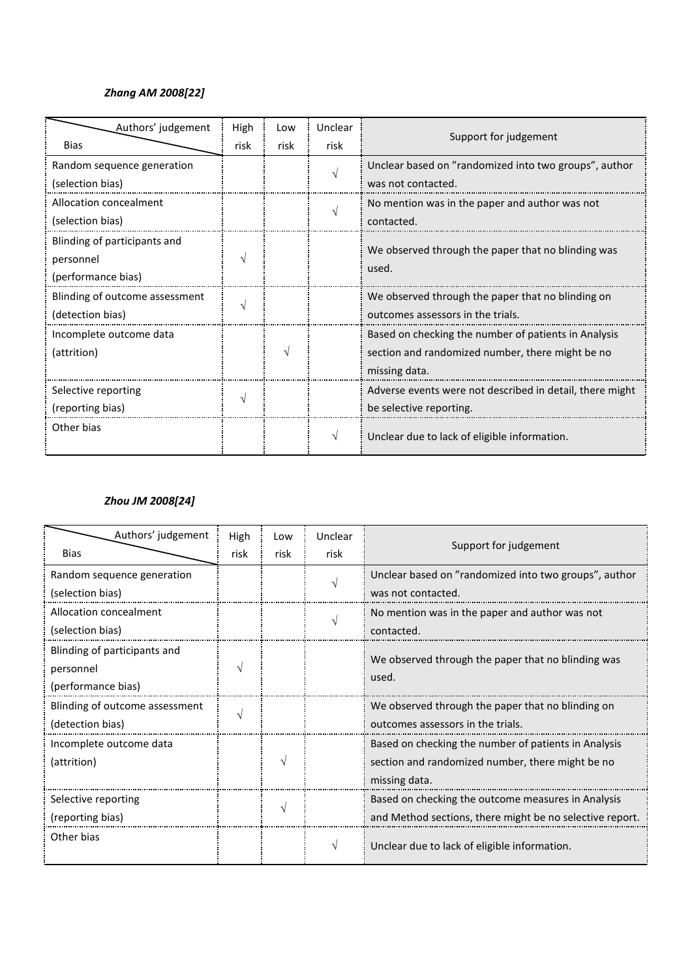#### *Zhang AM 2008[22]*

| Authors' judgement             | High | Low  | Unclear                                            |                                                          |
|--------------------------------|------|------|----------------------------------------------------|----------------------------------------------------------|
| <b>Bias</b>                    | risk | risk | risk                                               | Support for judgement                                    |
| Random sequence generation     |      |      |                                                    | Unclear based on "randomized into two groups", author    |
| (selection bias)               |      |      |                                                    | was not contacted.                                       |
| Allocation concealment         |      |      |                                                    | No mention was in the paper and author was not           |
| (selection bias)               |      |      |                                                    | contacted.                                               |
| Blinding of participants and   |      |      | We observed through the paper that no blinding was |                                                          |
| personnel                      |      |      | used.                                              |                                                          |
| (performance bias)             |      |      |                                                    |                                                          |
| Blinding of outcome assessment |      |      |                                                    | We observed through the paper that no blinding on        |
| (detection bias)               |      |      | outcomes assessors in the trials.                  |                                                          |
| Incomplete outcome data        |      |      |                                                    | Based on checking the number of patients in Analysis     |
| (attrition)                    |      | N    |                                                    | section and randomized number, there might be no         |
|                                |      |      |                                                    | missing data.                                            |
| Selective reporting            | ٦    |      |                                                    | Adverse events were not described in detail, there might |
| (reporting bias)               |      |      |                                                    | be selective reporting.                                  |
| Other bias                     |      |      |                                                    | Unclear due to lack of eligible information.             |

#### *Zhou JM 2008[24]*

| Authors' judgement             | High | Low  | Unclear                           |                                                             |
|--------------------------------|------|------|-----------------------------------|-------------------------------------------------------------|
| <b>Bias</b>                    | risk | risk | risk                              | Support for judgement                                       |
| Random sequence generation     |      |      |                                   | Unclear based on "randomized into two groups", author       |
| (selection bias)               |      |      |                                   | was not contacted.                                          |
| Allocation concealment         |      |      |                                   | No mention was in the paper and author was not              |
| (selection bias)               |      |      |                                   | contacted.                                                  |
| Blinding of participants and   |      |      |                                   |                                                             |
| personnel                      |      |      |                                   | We observed through the paper that no blinding was<br>used. |
| (performance bias)             |      |      |                                   |                                                             |
| Blinding of outcome assessment |      |      |                                   | We observed through the paper that no blinding on           |
| (detection bias)               |      |      | outcomes assessors in the trials. |                                                             |
| Incomplete outcome data        |      |      |                                   | Based on checking the number of patients in Analysis        |
| (attrition)                    |      |      |                                   | section and randomized number, there might be no            |
|                                |      |      |                                   | missing data.                                               |
| Selective reporting            |      |      |                                   | Based on checking the outcome measures in Analysis          |
| (reporting bias)               |      |      |                                   | and Method sections, there might be no selective report.    |
| Other bias                     |      |      | V                                 | Unclear due to lack of eligible information.                |